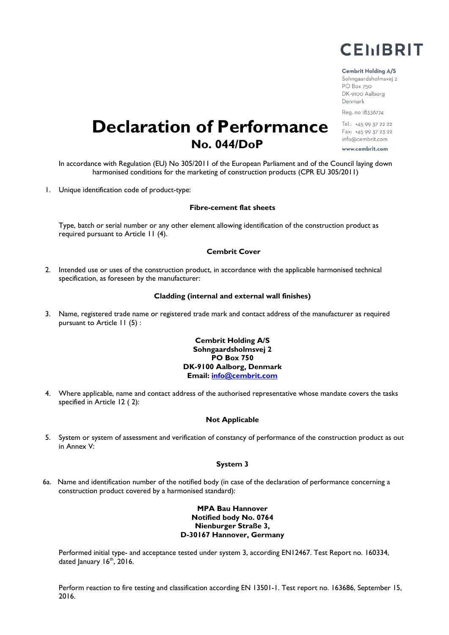

#### **Cembrit Holding A/S**

Sohngaardsholmsvej 2 PO Box 750 DK-9100 Aalborg Denmark Reg. no 18336774

Tel.: +45 99 37 22 22 Fax: +45 99 37 23 22 info@cembrit.com www.cembrit.com

# **Declaration of Performance No. 044/DoP**

In accordance with Regulation (EU) No 305/2011 of the European Parliament and of the Council laying down harmonised conditions for the marketing of construction products (CPR EU 305/2011)

1. Unique identification code of product-type:

#### **Fibre-cement flat sheets**

Type, batch or serial number or any other element allowing identification of the construction product as required pursuant to Article 11 (4).

### **Cembrit Cover**

2. Intended use or uses of the construction product, in accordance with the applicable harmonised technical specification, as foreseen by the manufacturer:

#### **Cladding (internal and external wall finishes)**

3. Name, registered trade name or registered trade mark and contact address of the manufacturer as required pursuant to Article 11 (5) :

# **Cembrit Holding A/S Sohngaardsholmsvej 2 PO Box 750 DK-9100 Aalborg, Denmark Email: [info@cembrit.com](mailto:info@cembrit.com)**

4. Where applicable, name and contact address of the authorised representative whose mandate covers the tasks specified in Article 12 ( 2):

# **Not Applicable**

5. System or system of assessment and verification of constancy of performance of the construction product as out in Annex V:

#### **System 3**

6a. Name and identification number of the notified body (in case of the declaration of performance concerning a construction product covered by a harmonised standard):

# **MPA Bau Hannover Notified body No. 0764 Nienburger Straße 3, D-30167 Hannover, Germany**

Performed initial type- and acceptance tested under system 3, according EN12467. Test Report no. 160334, dated January  $16<sup>th</sup>$ , 2016.

Perform reaction to fire testing and classification according EN 13501-1. Test report no. 163686, September 15, 2016.